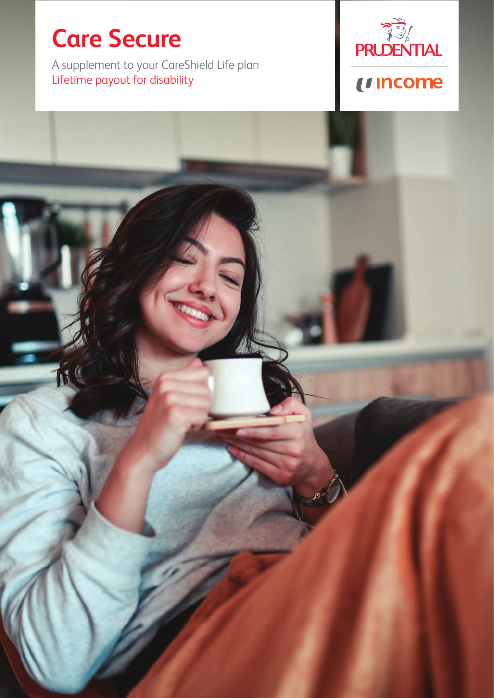# **Care Secure**

A supplement to your CareShield Life plan Lifetime payout for disability

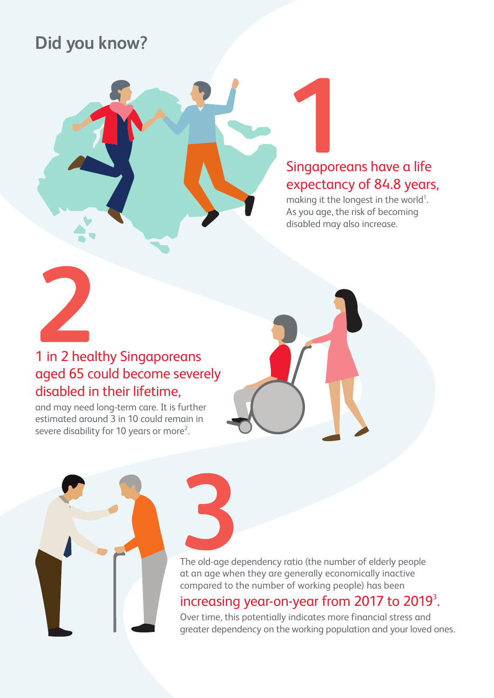## **Did you know?**



making it the longest in the world<sup>1</sup>. As you age, the risk of becoming disabled may also increase.



# aged 65 could become severely disabled in their lifetime,

and may need long-term care. It is further estimated around 3 in 10 could remain in severe disability for 10 years or more<sup>2</sup>.



The old-age dependency ratio (the number of elderly people at an age when they are generally economically inactive compared to the number of working people) has been The old-age de

# increasing year-on-year from 2017 to 2019<sup>3</sup>.<br>Over time, this potentially indicates more financial stress and

greater dependency on the working population and your loved ones.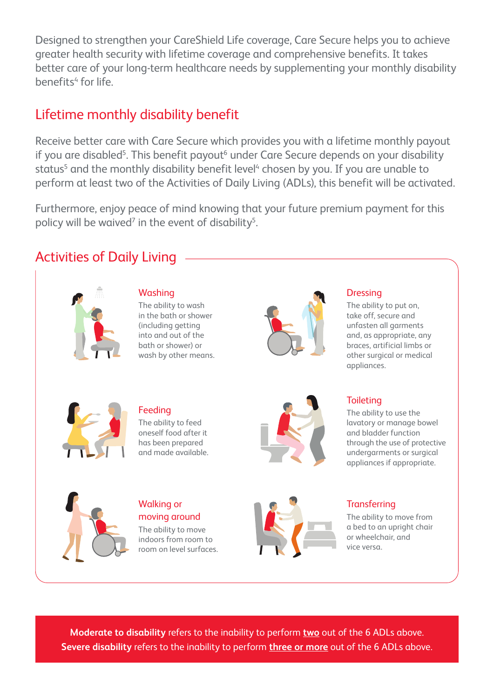Designed to strengthen your CareShield Life coverage, Care Secure helps you to achieve greater health security with lifetime coverage and comprehensive benefits. It takes better care of your long-term healthcare needs by supplementing your monthly disability benefits<sup>4</sup> for life.

### Lifetime monthly disability benefit

Receive better care with Care Secure which provides you with a lifetime monthly payout if you are disabled<sup>5</sup>. This benefit payout<sup>6</sup> under Care Secure depends on your disability status<sup>5</sup> and the monthly disability benefit level<sup>4</sup> chosen by you. If you are unable to perform at least two of the Activities of Daily Living (ADLs), this benefit will be activated.

Furthermore, enjoy peace of mind knowing that your future premium payment for this policy will be waived<sup>7</sup> in the event of disability<sup>5</sup>.

## Activities of Daily Living



### Washing

The ability to wash in the bath or shower (including getting into and out of the bath or shower) or wash by other means.



### **Dressing**

The ability to put on, take off, secure and unfasten all garments and, as appropriate, any braces, artificial limbs or other surgical or medical appliances.



### Feeding

The ability to feed oneself food after it has been prepared and made available.



### **Toileting**

The ability to use the lavatory or manage bowel and bladder function through the use of protective undergarments or surgical appliances if appropriate.



### Walking or moving around

The ability to move indoors from room to room on level surfaces.



### **Transferring**

The ability to move from a bed to an upright chair or wheelchair, and vice versa.

**Moderate to disability** refers to the inability to perform **two** out of the 6 ADLs above. **Severe disability** refers to the inability to perform **three or more** out of the 6 ADLs above.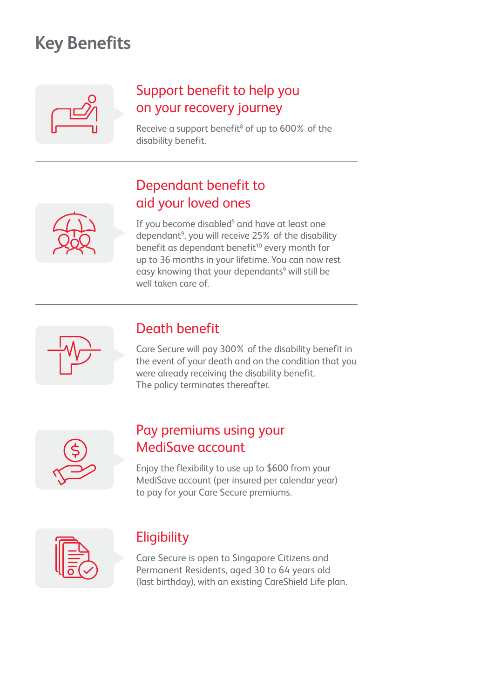## **Key Benefits**

## Support benefit to help you on your recovery journey

Receive a support benefit<sup>8</sup> of up to  $600\%$  of the disability benefit.

## Dependant benefit to aid your loved ones

If you become disabled<sup>5</sup> and have at least one dependant<sup>9</sup>, you will receive 25% of the disability benefit as dependant benefit<sup>10</sup> every month for up to 36 months in your lifetime. You can now rest easy knowing that your dependants<sup>9</sup> will still be well taken care of.



## Death benefit

Care Secure will pay 300% of the disability benefit in the event of your death and on the condition that you were already receiving the disability benefit. The policy terminates thereafter.



### Pay premiums using your MediSave account

Enjoy the flexibility to use up to \$600 from your MediSave account (per insured per calendar year) to pay for your Care Secure premiums.



## **Eligibility**

Care Secure is open to Singapore Citizens and Permanent Residents, aged 30 to 64 years old (last birthday), with an existing CareShield Life plan.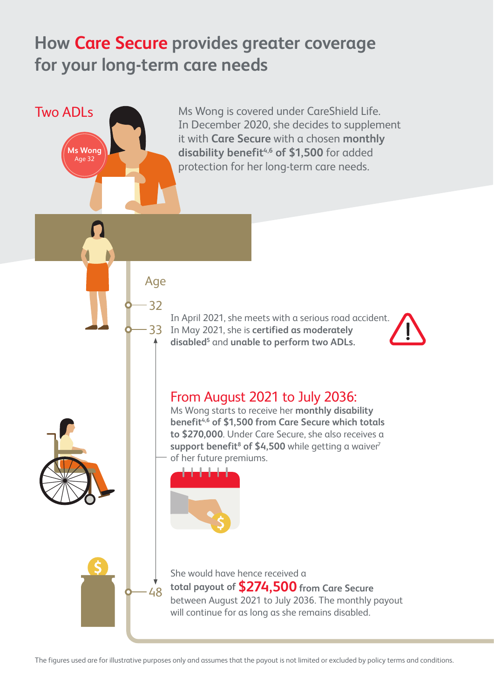## **How Care Secure provides greater coverage for your long-term care needs**

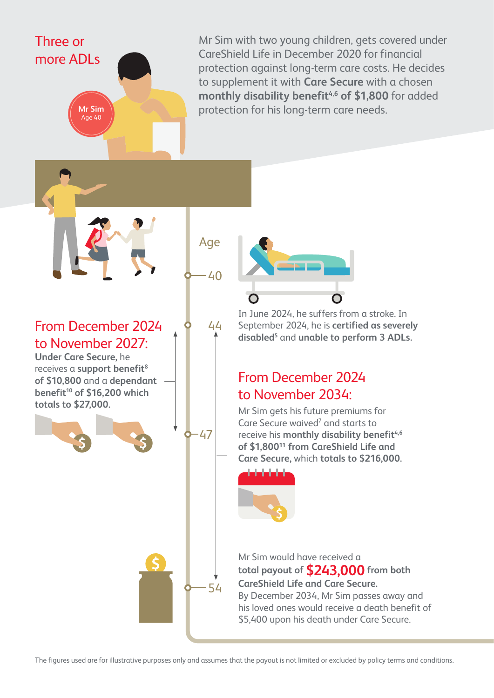Mr Sim with two young children, gets covered under CareShield Life in December 2020 for financial protection against long-term care costs. He decides to supplement it with **Care Secure** with a chosen monthly disability benefit<sup>4,6</sup> of \$1,800 for added **Mr Sim protection for his long-term care needs.** 

From December 2024 to November 2027:

Three or

more ADLs

**Under Care Secure,** he receives a **support benefit**<sup>8</sup> **of \$10,800** and a **dependant benefit10 of \$16,200 which totals to \$27,000.**

Age

40

44

 $-47$ 

54

In June 2024, he suffers from a stroke. In September 2024, he is **certified as severely** disabled<sup>5</sup> and **unable to perform 3 ADLs.** 

### From December 2024 to November 2034:

Mr Sim gets his future premiums for Care Secure waived<sup>7</sup> and starts to receive his **monthly disability benefit**<sup>4,6</sup> of \$1,800<sup>11</sup> from CareShield Life and **Care Secure,** which **totals to \$216,000.**



Mr Sim would have received a **total payout of \$243,000 from both CareShield Life and Care Secure.** By December 2034, Mr Sim passes away and his loved ones would receive a death benefit of \$5,400 upon his death under Care Secure.

The figures used are for illustrative purposes only and assumes that the payout is not limited or excluded by policy terms and conditions.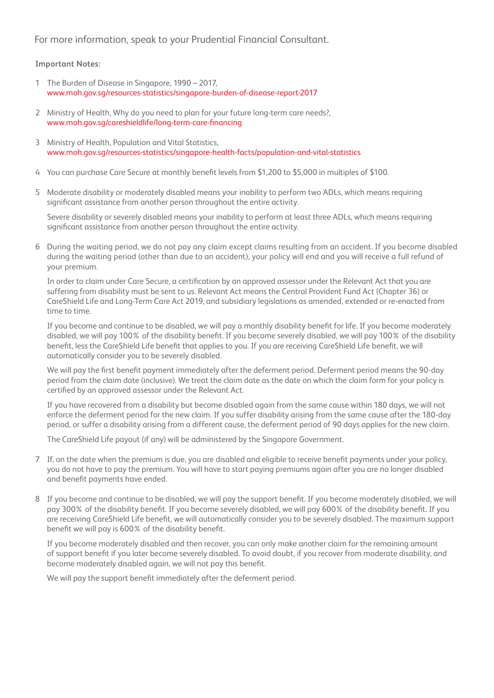For more information, speak to your Prudential Financial Consultant.

#### **Important Notes:**

- 1 The Burden of Disease in Singapore, 1990 2017, www.moh.gov.sg/resources-statistics/singapore-burden-of-disease-report-2017
- 2 Ministry of Health, Why do you need to plan for your future long-term care needs?, www.moh.gov.sg/careshieldlife/long-term-care-financing
- 3 Ministry of Health, Population and Vital Statistics, www.moh.gov.sg/resources-statistics/singapore-health-facts/population-and-vital-statistics
- 4 You can purchase Care Secure at monthly benefit levels from \$1,200 to \$5,000 in multiples of \$100.
- 5 Moderate disability or moderately disabled means your inability to perform two ADLs, which means requiring significant assistance from another person throughout the entire activity.

Severe disability or severely disabled means your inability to perform at least three ADLs, which means requiring significant assistance from another person throughout the entire activity.

6 During the waiting period, we do not pay any claim except claims resulting from an accident. If you become disabled during the waiting period (other than due to an accident), your policy will end and you will receive a full refund of your premium.

In order to claim under Care Secure, a certification by an approved assessor under the Relevant Act that you are suffering from disability must be sent to us. Relevant Act means the Central Provident Fund Act (Chapter 36) or CareShield Life and Long-Term Care Act 2019, and subsidiary legislations as amended, extended or re-enacted from time to time.

If you become and continue to be disabled, we will pay a monthly disability benefit for life. If you become moderately disabled, we will pay 100% of the disability benefit. If you become severely disabled, we will pay 100% of the disability benefit, less the CareShield Life benefit that applies to you. If you are receiving CareShield Life benefit, we will automatically consider you to be severely disabled.

We will pay the first benefit payment immediately after the deferment period. Deferment period means the 90-day period from the claim date (inclusive). We treat the claim date as the date on which the claim form for your policy is certified by an approved assessor under the Relevant Act.

If you have recovered from a disability but become disabled again from the same cause within 180 days, we will not enforce the deferment period for the new claim. If you suffer disability arising from the same cause after the 180-day period, or suffer a disability arising from a different cause, the deferment period of 90 days applies for the new claim.

The CareShield Life payout (if any) will be administered by the Singapore Government.

- 7 If, on the date when the premium is due, you are disabled and eligible to receive benefit payments under your policy, you do not have to pay the premium. You will have to start paying premiums again after you are no longer disabled and benefit payments have ended.
- 8 If you become and continue to be disabled, we will pay the support benefit. If you become moderately disabled, we will pay 300% of the disability benefit. If you become severely disabled, we will pay 600% of the disability benefit. If you are receiving CareShield Life benefit, we will automatically consider you to be severely disabled. The maximum support benefit we will pay is 600% of the disability benefit.

If you become moderately disabled and then recover, you can only make another claim for the remaining amount of support benefit if you later become severely disabled. To avoid doubt, if you recover from moderate disability, and become moderately disabled again, we will not pay this benefit.

We will pay the support benefit immediately after the deferment period.